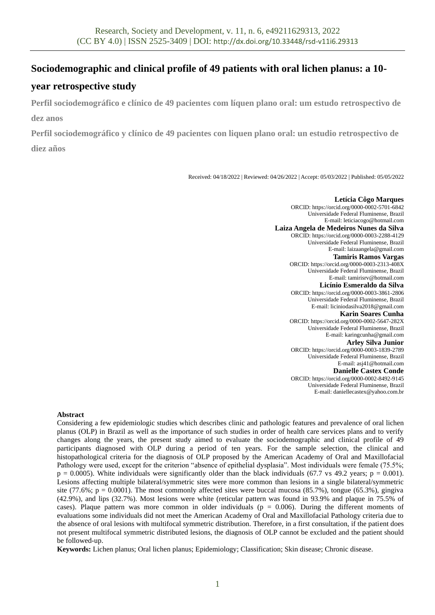# **Sociodemographic and clinical profile of 49 patients with oral lichen planus: a 10-**

# **year retrospective study**

**Perfil sociodemográfico e clínico de 49 pacientes com líquen plano oral: um estudo retrospectivo de dez anos**

**Perfil sociodemográfico y clínico de 49 pacientes con liquen plano oral: un estudio retrospectivo de diez años**

Received: 04/18/2022 | Reviewed: 04/26/2022 | Accept: 05/03/2022 | Published: 05/05/2022

**Letícia Côgo Marques** ORCID: https://orcid.org[/0000-0002-5701-6842](https://orcid.org/0000-0002-5701-6842) Universidade Federal Fluminense, Brazil E-mail: leticiacogo@hotmail.com **Laiza Angela de Medeiros Nunes da Silva** ORCID: https://orcid.org/0000-0003-2288-4129 Universidade Federal Fluminense, Brazil E-mail: laizaangela@gmail.com **Tamiris Ramos Vargas** ORCID: https://orcid.org/0000-0003-2313-408X Universidade Federal Fluminense, Brazil E-mail: tamirisrv@hotmail.com **Licínio Esmeraldo da Silva** ORCID: https://orcid.org[/0000-0003-3861-2806](https://orcid.org/0000-0003-3861-2806) Universidade Federal Fluminense, Brazil E-mail: liciniodasilva2018@gmail.com **Karin Soares Cunha** ORCID: https://orcid.org[/0000-0002-5647-282X](https://orcid.org/0000-0002-5647-282X) Universidade Federal Fluminense, Brazil E-mail: karingcunha@gmail.com **Arley Silva Junior** ORCID: https://orcid.org[/0000-0003-1839-2789](https://orcid.org/0000-0003-1839-2789) Universidade Federal Fluminense, Brazil E-mail: asj41@hotmail.com **Danielle Castex Conde**

ORCID: https://orcid.org[/0000-0002-8492-9145](https://orcid.org/0000-0002-8492-9145) Universidade Federal Fluminense, Brazil E-mail: daniellecastex@yahoo.com.br

### **Abstract**

Considering a few epidemiologic studies which describes clinic and pathologic features and prevalence of oral lichen planus (OLP) in Brazil as well as the importance of such studies in order of health care services plans and to verify changes along the years, the present study aimed to evaluate the sociodemographic and clinical profile of 49 participants diagnosed with OLP during a period of ten years. For the sample selection, the clinical and histopathological criteria for the diagnosis of OLP proposed by the American Academy of Oral and Maxillofacial Pathology were used, except for the criterion "absence of epithelial dysplasia". Most individuals were female (75.5%;  $p = 0.0005$ . White individuals were significantly older than the black individuals (67.7 vs 49.2 years;  $p = 0.001$ ). Lesions affecting multiple bilateral/symmetric sites were more common than lesions in a single bilateral/symmetric site (77.6%;  $p = 0.0001$ ). The most commonly affected sites were buccal mucosa (85.7%), tongue (65.3%), gingiva (42.9%), and lips (32.7%). Most lesions were white (reticular pattern was found in 93.9% and plaque in 75.5% of cases). Plaque pattern was more common in older individuals ( $p = 0.006$ ). During the different moments of evaluations some individuals did not meet the American Academy of Oral and Maxillofacial Pathology criteria due to the absence of oral lesions with multifocal symmetric distribution. Therefore, in a first consultation, if the patient does not present multifocal symmetric distributed lesions, the diagnosis of OLP cannot be excluded and the patient should be followed-up.

**Keywords:** Lichen planus; Oral lichen planus; Epidemiology; Classification; Skin disease; Chronic disease.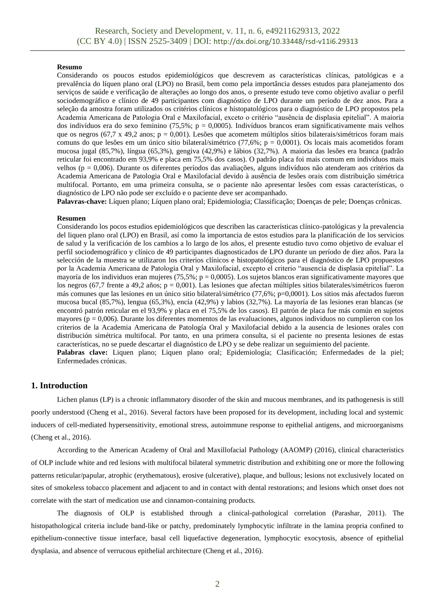### **Resumo**

Considerando os poucos estudos epidemiológicos que descrevem as características clínicas, patológicas e a prevalência do líquen plano oral (LPO) no Brasil, bem como pela importância desses estudos para planejamento dos serviços de saúde e verificação de alterações ao longo dos anos, o presente estudo teve como objetivo avaliar o perfil sociodemográfico e clínico de 49 participantes com diagnóstico de LPO durante um período de dez anos. Para a seleção da amostra foram utilizados os critérios clínicos e histopatológicos para o diagnóstico de LPO propostos pela Academia Americana de Patologia Oral e Maxilofacial, exceto o critério "ausência de displasia epitelial". A maioria dos indivíduos era do sexo feminino (75,5%; p = 0,0005). Indivíduos brancos eram significativamente mais velhos que os negros (67,7 x 49,2 anos; p = 0,001). Lesões que acometem múltiplos sítios bilaterais/simétricos foram mais comuns do que lesões em um único sítio bilateral/simétrico (77,6%; p = 0,0001). Os locais mais acometidos foram mucosa jugal (85,7%), língua (65,3%), gengiva (42,9%) e lábios (32,7%). A maioria das lesões era branca (padrão reticular foi encontrado em 93,9% e placa em 75,5% dos casos). O padrão placa foi mais comum em indivíduos mais velhos (p = 0,006). Durante os diferentes períodos das avaliações, alguns indivíduos não atenderam aos critérios da Academia Americana de Patologia Oral e Maxilofacial devido à ausência de lesões orais com distribuição simétrica multifocal. Portanto, em uma primeira consulta, se o paciente não apresentar lesões com essas características, o diagnóstico de LPO não pode ser excluído e o paciente deve ser acompanhado.

**Palavras-chave:** Líquen plano; Líquen plano oral; Epidemiologia; Classificação; Doenças de pele; Doenças crônicas.

#### **Resumen**

Considerando los pocos estudios epidemiológicos que describen las características clínico-patológicas y la prevalencia del liquen plano oral (LPO) en Brasil, así como la importancia de estos estudios para la planificación de los servicios de salud y la verificación de los cambios a lo largo de los años, el presente estudio tuvo como objetivo de evaluar el perfil sociodemográfico y clínico de 49 participantes diagnosticados de LPO durante un período de diez años. Para la selección de la muestra se utilizaron los criterios clínicos e histopatológicos para el diagnóstico de LPO propuestos por la Academia Americana de Patología Oral y Maxilofacial, excepto el criterio "ausencia de displasia epitelial". La mayoría de los individuos eran mujeres (75,5%;  $p = 0,0005$ ). Los sujetos blancos eran significativamente mayores que los negros (67,7 frente a 49,2 años; p = 0,001). Las lesiones que afectan múltiples sitios bilaterales/simétricos fueron más comunes que las lesiones en un único sitio bilateral/simétrico (77,6%; p=0,0001). Los sitios más afectados fueron mucosa bucal (85,7%), lengua (65,3%), encía (42,9%) y labios (32,7%). La mayoría de las lesiones eran blancas (se encontró patrón reticular en el 93,9% y placa en el 75,5% de los casos). El patrón de placa fue más común en sujetos mayores ( $p = 0,006$ ). Durante los diferentes momentos de las evaluaciones, algunos individuos no cumplieron con los criterios de la Academia Americana de Patología Oral y Maxilofacial debido a la ausencia de lesiones orales con distribución simétrica multifocal. Por tanto, en una primera consulta, si el paciente no presenta lesiones de estas características, no se puede descartar el diagnóstico de LPO y se debe realizar un seguimiento del paciente. Palabras clave: Liquen plano; Liquen plano oral; Epidemiología; Clasificación; Enfermedades de la piel; Enfermedades crónicas.

## **1. Introduction**

Lichen planus (LP) is a chronic inflammatory disorder of the skin and mucous membranes, and its pathogenesis is still poorly understood (Cheng et al., 2016). Several factors have been proposed for its development, including local and systemic inducers of cell-mediated hypersensitivity, emotional stress, autoimmune response to epithelial antigens, and microorganisms (Cheng et al., 2016).

According to the American Academy of Oral and Maxillofacial Pathology (AAOMP) (2016), clinical characteristics of OLP include white and red lesions with multifocal bilateral symmetric distribution and exhibiting one or more the following patterns reticular/papular, atrophic (erythematous), erosive (ulcerative), plaque, and bullous; lesions not exclusively located on sites of smokeless tobacco placement and adjacent to and in contact with dental restorations; and lesions which onset does not correlate with the start of medication use and cinnamon-containing products.

The diagnosis of OLP is established through a clinical-pathological correlation (Parashar, 2011). The histopathological criteria include band-like or patchy, predominately lymphocytic infiltrate in the lamina propria confined to epithelium-connective tissue interface, basal cell liquefactive degeneration, lymphocytic exocytosis, absence of epithelial dysplasia, and absence of verrucous epithelial architecture (Cheng et al., 2016).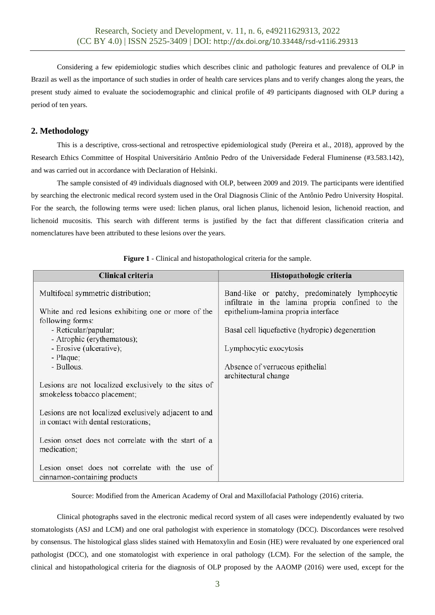Considering a few epidemiologic studies which describes clinic and pathologic features and prevalence of OLP in Brazil as well as the importance of such studies in order of health care services plans and to verify changes along the years, the present study aimed to evaluate the sociodemographic and clinical profile of 49 participants diagnosed with OLP during a period of ten years.

# **2. Methodology**

This is a descriptive, cross-sectional and retrospective epidemiological study (Pereira et al., 2018), approved by the Research Ethics Committee of Hospital Universitário Antônio Pedro of the Universidade Federal Fluminense (#3.583.142), and was carried out in accordance with Declaration of Helsinki.

The sample consisted of 49 individuals diagnosed with OLP, between 2009 and 2019. The participants were identified by searching the electronic medical record system used in the Oral Diagnosis Clinic of the Antônio Pedro University Hospital. For the search, the following terms were used: lichen planus, oral lichen planus, lichenoid lesion, lichenoid reaction, and lichenoid mucositis. This search with different terms is justified by the fact that different classification criteria and nomenclatures have been attributed to these lesions over the years.

| Clinical criteria                                                                                                                                                                                                         | Histopathologic criteria                                                                                                                                                                                                                                  |
|---------------------------------------------------------------------------------------------------------------------------------------------------------------------------------------------------------------------------|-----------------------------------------------------------------------------------------------------------------------------------------------------------------------------------------------------------------------------------------------------------|
| Multifocal symmetric distribution;<br>White and red lesions exhibiting one or more of the<br>following forms:<br>- Reticular/papular;<br>- Atrophic (erythematous);<br>- Erosive (ulcerative);<br>- Plaque;<br>- Bullous. | Band-like or patchy, predominately lymphocytic<br>infiltrate in the lamina propria confined to the<br>epithelium-lamina propria interface<br>Basal cell liquefactive (hydropic) degeneration<br>Lymphocytic exocytosis<br>Absence of verrucous epithelial |
| Lesions are not localized exclusively to the sites of<br>smokeless tobacco placement;                                                                                                                                     | architectural change                                                                                                                                                                                                                                      |
| Lesions are not localized exclusively adjacent to and<br>in contact with dental restorations;                                                                                                                             |                                                                                                                                                                                                                                                           |
| Lesion onset does not correlate with the start of a<br>medication;                                                                                                                                                        |                                                                                                                                                                                                                                                           |
| Lesion onset does not correlate with the use of<br>cinnamon-containing products                                                                                                                                           |                                                                                                                                                                                                                                                           |

**Figure 1** - Clinical and histopathological criteria for the sample.

Source: Modified from the American Academy of Oral and Maxillofacial Pathology (2016) criteria.

Clinical photographs saved in the electronic medical record system of all cases were independently evaluated by two stomatologists (ASJ and LCM) and one oral pathologist with experience in stomatology (DCC). Discordances were resolved by consensus. The histological glass slides stained with Hematoxylin and Eosin (HE) were revaluated by one experienced oral pathologist (DCC), and one stomatologist with experience in oral pathology (LCM). For the selection of the sample, the clinical and histopathological criteria for the diagnosis of OLP proposed by the AAOMP (2016) were used, except for the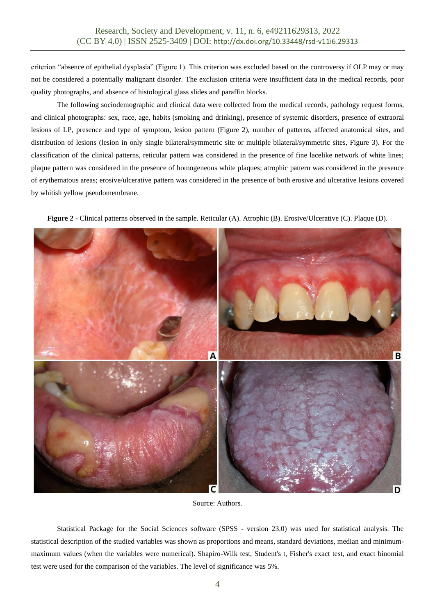criterion "absence of epithelial dysplasia" (Figure 1). This criterion was excluded based on the controversy if OLP may or may not be considered a potentially malignant disorder. The exclusion criteria were insufficient data in the medical records, poor quality photographs, and absence of histological glass slides and paraffin blocks.

The following sociodemographic and clinical data were collected from the medical records, pathology request forms, and clinical photographs: sex, race, age, habits (smoking and drinking), presence of systemic disorders, presence of extraoral lesions of LP, presence and type of symptom, lesion pattern (Figure 2), number of patterns, affected anatomical sites, and distribution of lesions (lesion in only single bilateral/symmetric site or multiple bilateral/symmetric sites, Figure 3). For the classification of the clinical patterns, reticular pattern was considered in the presence of fine lacelike network of white lines; plaque pattern was considered in the presence of homogeneous white plaques; atrophic pattern was considered in the presence of erythematous areas; erosive/ulcerative pattern was considered in the presence of both erosive and ulcerative lesions covered by whitish yellow pseudomembrane.

**Figure 2** - Clinical patterns observed in the sample. Reticular (A). Atrophic (B). Erosive/Ulcerative (C). Plaque (D).



Source: Authors.

Statistical Package for the Social Sciences software (SPSS - version 23.0) was used for statistical analysis. The statistical description of the studied variables was shown as proportions and means, standard deviations, median and minimummaximum values (when the variables were numerical). Shapiro-Wilk test, Student's t, Fisher's exact test, and exact binomial test were used for the comparison of the variables. The level of significance was 5%.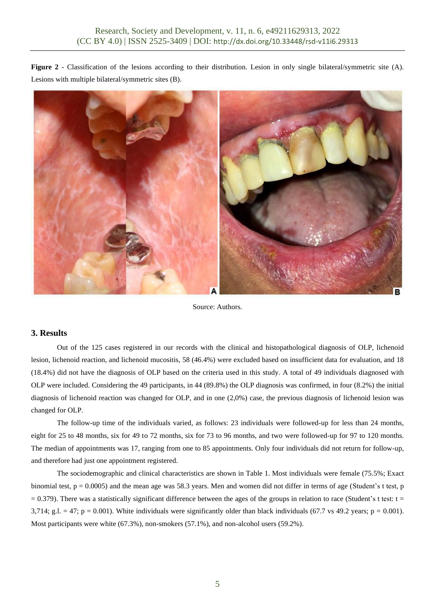**Figure 2** - Classification of the lesions according to their distribution. Lesion in only single bilateral/symmetric site (A). Lesions with multiple bilateral/symmetric sites (B).



Source: Authors.

## **3. Results**

Out of the 125 cases registered in our records with the clinical and histopathological diagnosis of OLP, lichenoid lesion, lichenoid reaction, and lichenoid mucositis, 58 (46.4%) were excluded based on insufficient data for evaluation, and 18 (18.4%) did not have the diagnosis of OLP based on the criteria used in this study. A total of 49 individuals diagnosed with OLP were included. Considering the 49 participants, in 44 (89.8%) the OLP diagnosis was confirmed, in four (8.2%) the initial diagnosis of lichenoid reaction was changed for OLP, and in one (2,0%) case, the previous diagnosis of lichenoid lesion was changed for OLP.

The follow-up time of the individuals varied, as follows: 23 individuals were followed-up for less than 24 months, eight for 25 to 48 months, six for 49 to 72 months, six for 73 to 96 months, and two were followed-up for 97 to 120 months. The median of appointments was 17, ranging from one to 85 appointments. Only four individuals did not return for follow-up, and therefore had just one appointment registered.

The sociodemographic and clinical characteristics are shown in Table 1. Most individuals were female (75.5%; Exact binomial test,  $p = 0.0005$ ) and the mean age was 58.3 years. Men and women did not differ in terms of age (Student's t test, p  $= 0.379$ ). There was a statistically significant difference between the ages of the groups in relation to race (Student's t test: t = 3,714; g.l.  $= 47$ ; p = 0.001). White individuals were significantly older than black individuals (67.7 vs 49.2 years; p = 0.001). Most participants were white (67.3%), non-smokers (57.1%), and non-alcohol users (59.2%).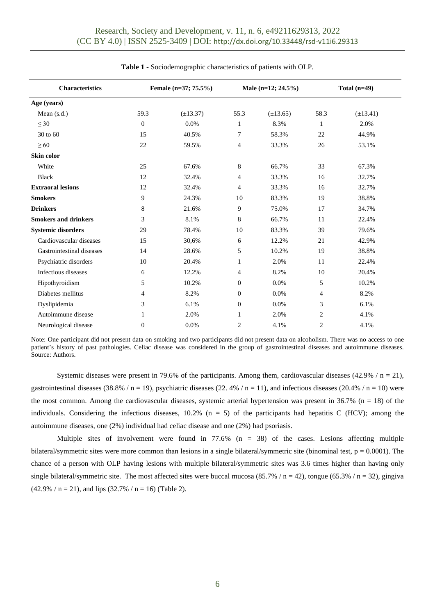| <b>Characteristics</b>      |                  | Female (n=37; 75.5%) |                  | Male $(n=12; 24.5\%)$ |                | Total $(n=49)$ |  |
|-----------------------------|------------------|----------------------|------------------|-----------------------|----------------|----------------|--|
| Age (years)                 |                  |                      |                  |                       |                |                |  |
| Mean $(s.d.)$               | 59.3             | $(\pm 13.37)$        | 55.3             | $(\pm 13.65)$         | 58.3           | $(\pm 13.41)$  |  |
| $\leq 30$                   | $\boldsymbol{0}$ | 0.0%                 | 1                | 8.3%                  | $\mathbf{1}$   | 2.0%           |  |
| 30 to 60                    | 15               | 40.5%                | 7                | 58.3%                 | 22             | 44.9%          |  |
| $\geq 60$                   | 22               | 59.5%                | 4                | 33.3%                 | 26             | 53.1%          |  |
| <b>Skin color</b>           |                  |                      |                  |                       |                |                |  |
| White                       | 25               | 67.6%                | 8                | 66.7%                 | 33             | 67.3%          |  |
| <b>Black</b>                | 12               | 32.4%                | 4                | 33.3%                 | 16             | 32.7%          |  |
| <b>Extraoral lesions</b>    | 12               | 32.4%                | 4                | 33.3%                 | 16             | 32.7%          |  |
| <b>Smokers</b>              | 9                | 24.3%                | 10               | 83.3%                 | 19             | 38.8%          |  |
| <b>Drinkers</b>             | 8                | 21.6%                | 9                | 75.0%                 | 17             | 34.7%          |  |
| <b>Smokers and drinkers</b> | 3                | 8.1%                 | $\,8\,$          | 66.7%                 | 11             | 22.4%          |  |
| <b>Systemic disorders</b>   | 29               | 78.4%                | 10               | 83.3%                 | 39             | 79.6%          |  |
| Cardiovascular diseases     | 15               | 30,6%                | 6                | 12.2%                 | 21             | 42.9%          |  |
| Gastrointestinal diseases   | 14               | 28.6%                | 5                | 10.2%                 | 19             | 38.8%          |  |
| Psychiatric disorders       | 10               | 20.4%                | 1                | 2.0%                  | 11             | 22.4%          |  |
| Infectious diseases         | 6                | 12.2%                | 4                | 8.2%                  | 10             | 20.4%          |  |
| Hipothyroidism              | 5                | 10.2%                | $\boldsymbol{0}$ | 0.0%                  | 5              | 10.2%          |  |
| Diabetes mellitus           | 4                | 8.2%                 | $\boldsymbol{0}$ | 0.0%                  | 4              | 8.2%           |  |
| Dyslipidemia                | 3                | 6.1%                 | $\boldsymbol{0}$ | 0.0%                  | 3              | 6.1%           |  |
| Autoimmune disease          | 1                | 2.0%                 | 1                | 2.0%                  | $\overline{2}$ | 4.1%           |  |
| Neurological disease        | $\mathbf{0}$     | 0.0%                 | 2                | 4.1%                  | $\overline{2}$ | 4.1%           |  |

Note: One participant did not present data on smoking and two participants did not present data on alcoholism. There was no access to one patient's history of past pathologies. Celiac disease was considered in the group of gastrointestinal diseases and autoimmune diseases. Source: Authors.

Systemic diseases were present in 79.6% of the participants. Among them, cardiovascular diseases  $(42.9\% / n = 21)$ , gastrointestinal diseases (38.8% / n = 19), psychiatric diseases (22.4% / n = 11), and infectious diseases (20.4% / n = 10) were the most common. Among the cardiovascular diseases, systemic arterial hypertension was present in  $36.7\%$  (n = 18) of the individuals. Considering the infectious diseases,  $10.2\%$  (n = 5) of the participants had hepatitis C (HCV); among the autoimmune diseases, one (2%) individual had celiac disease and one (2%) had psoriasis.

Multiple sites of involvement were found in  $77.6\%$  (n = 38) of the cases. Lesions affecting multiple bilateral/symmetric sites were more common than lesions in a single bilateral/symmetric site (binominal test,  $p = 0.0001$ ). The chance of a person with OLP having lesions with multiple bilateral/symmetric sites was 3.6 times higher than having only single bilateral/symmetric site. The most affected sites were buccal mucosa (85.7% / n = 42), tongue (65.3% / n = 32), gingiva  $(42.9\% / n = 21)$ , and lips  $(32.7\% / n = 16)$  (Table 2).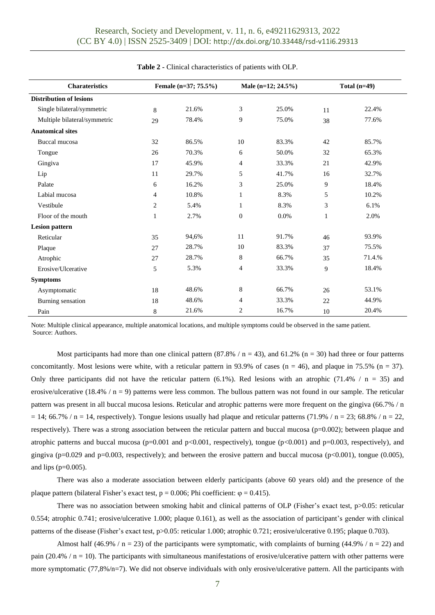| <b>Charateristics</b>          | Female (n=37; 75.5%) |       |                  | Male (n=12; 24.5%) |              | Total $(n=49)$ |
|--------------------------------|----------------------|-------|------------------|--------------------|--------------|----------------|
| <b>Distribution of lesions</b> |                      |       |                  |                    |              |                |
| Single bilateral/symmetric     | 8                    | 21.6% | 3                | 25.0%              | 11           | 22.4%          |
| Multiple bilateral/symmetric   | 29                   | 78.4% | 9                | 75.0%              | 38           | 77.6%          |
| <b>Anatomical sites</b>        |                      |       |                  |                    |              |                |
| Buccal mucosa                  | 32                   | 86.5% | 10               | 83.3%              | 42           | 85.7%          |
| Tongue                         | 26                   | 70.3% | 6                | 50.0%              | 32           | 65.3%          |
| Gingiva                        | 17                   | 45.9% | $\overline{4}$   | 33.3%              | 21           | 42.9%          |
| Lip                            | 11                   | 29.7% | 5                | 41.7%              | 16           | 32.7%          |
| Palate                         | 6                    | 16.2% | 3                | 25.0%              | 9            | 18.4%          |
| Labial mucosa                  | $\overline{4}$       | 10.8% | 1                | 8.3%               | 5            | 10.2%          |
| Vestibule                      | $\overline{c}$       | 5.4%  | 1                | 8.3%               | 3            | 6.1%           |
| Floor of the mouth             | 1                    | 2.7%  | $\boldsymbol{0}$ | 0.0%               | $\mathbf{1}$ | 2.0%           |
| <b>Lesion pattern</b>          |                      |       |                  |                    |              |                |
| Reticular                      | 35                   | 94,6% | 11               | 91.7%              | 46           | 93.9%          |
| Plaque                         | 27                   | 28.7% | 10               | 83.3%              | 37           | 75.5%          |
| Atrophic                       | 27                   | 28.7% | 8                | 66.7%              | 35           | 71.4.%         |
| Erosive/Ulcerative             | 5                    | 5.3%  | 4                | 33.3%              | 9            | 18.4%          |
| <b>Symptoms</b>                |                      |       |                  |                    |              |                |
| Asymptomatic                   | 18                   | 48.6% | 8                | 66.7%              | 26           | 53.1%          |
| Burning sensation              | 18                   | 48.6% | 4                | 33.3%              | 22           | 44.9%          |
| Pain                           | 8                    | 21.6% | 2                | 16.7%              | 10           | 20.4%          |

**Table 2 -** Clinical characteristics of patients with OLP.

Note: Multiple clinical appearance, multiple anatomical locations, and multiple symptoms could be observed in the same patient. Source: Authors.

Most participants had more than one clinical pattern  $(87.8\% / n = 43)$ , and  $61.2\%$   $(n = 30)$  had three or four patterns concomitantly. Most lesions were white, with a reticular pattern in 93.9% of cases ( $n = 46$ ), and plaque in 75.5% ( $n = 37$ ). Only three participants did not have the reticular pattern (6.1%). Red lesions with an atrophic (71.4% /  $n = 35$ ) and erosive/ulcerative (18.4% /  $n = 9$ ) patterns were less common. The bullous pattern was not found in our sample. The reticular pattern was present in all buccal mucosa lesions. Reticular and atrophic patterns were more frequent on the gingiva (66.7% / n  $= 14$ ; 66.7% / n = 14, respectively). Tongue lesions usually had plaque and reticular patterns (71.9% / n = 23; 68.8% / n = 22, respectively). There was a strong association between the reticular pattern and buccal mucosa ( $p=0.002$ ); between plaque and atrophic patterns and buccal mucosa ( $p=0.001$  and  $p<0.001$ , respectively), tongue ( $p<0.001$ ) and  $p=0.003$ , respectively), and gingiva (p=0.029 and p=0.003, respectively); and between the erosive pattern and buccal mucosa (p<0.001), tongue (0.005), and lips  $(p=0.005)$ .

There was also a moderate association between elderly participants (above 60 years old) and the presence of the plaque pattern (bilateral Fisher's exact test,  $p = 0.006$ ; Phi coefficient:  $\varphi = 0.415$ ).

There was no association between smoking habit and clinical patterns of OLP (Fisher's exact test,  $p > 0.05$ : reticular 0.554; atrophic 0.741; erosive/ulcerative 1.000; plaque 0.161), as well as the association of participant's gender with clinical patterns of the disease (Fisher's exact test, p>0.05: reticular 1.000; atrophic 0.721; erosive/ulcerative 0.195; plaque 0.703).

Almost half (46.9% /  $n = 23$ ) of the participants were symptomatic, with complaints of burning (44.9% /  $n = 22$ ) and pain (20.4% /  $n = 10$ ). The participants with simultaneous manifestations of erosive/ulcerative pattern with other patterns were more symptomatic (77,8%/n=7). We did not observe individuals with only erosive/ulcerative pattern. All the participants with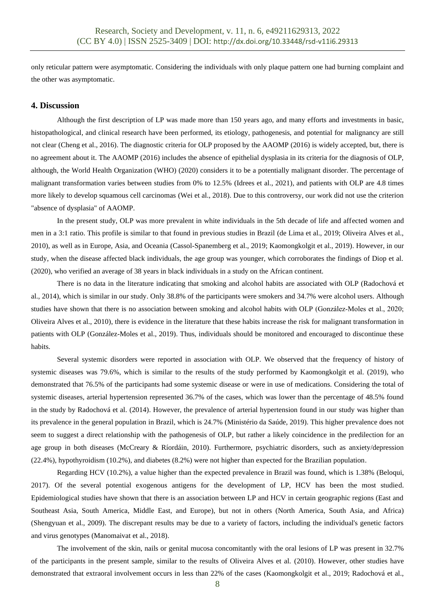only reticular pattern were asymptomatic. Considering the individuals with only plaque pattern one had burning complaint and the other was asymptomatic.

### **4. Discussion**

Although the first description of LP was made more than 150 years ago, and many efforts and investments in basic, histopathological, and clinical research have been performed, its etiology, pathogenesis, and potential for malignancy are still not clear (Cheng et al., 2016). The diagnostic criteria for OLP proposed by the AAOMP (2016) is widely accepted, but, there is no agreement about it. The AAOMP (2016) includes the absence of epithelial dysplasia in its criteria for the diagnosis of OLP, although, the World Health Organization (WHO) (2020) considers it to be a potentially malignant disorder. The percentage of malignant transformation varies between studies from 0% to 12.5% (Idrees et al., 2021), and patients with OLP are 4.8 times more likely to develop squamous cell carcinomas (Wei et al., 2018). Due to this controversy, our work did not use the criterion "absence of dysplasia" of AAOMP.

In the present study, OLP was more prevalent in white individuals in the 5th decade of life and affected women and men in a 3:1 ratio. This profile is similar to that found in previous studies in Brazil (de Lima et al., 2019; Oliveira Alves et al., 2010), as well as in Europe, Asia, and Oceania (Cassol-Spanemberg et al., 2019; Kaomongkolgit et al., 2019). However, in our study, when the disease affected black individuals, the age group was younger, which corroborates the findings of Diop et al. (2020), who verified an average of 38 years in black individuals in a study on the African continent.

There is no data in the literature indicating that smoking and alcohol habits are associated with OLP (Radochová et al., 2014), which is similar in our study. Only 38.8% of the participants were smokers and 34.7% were alcohol users. Although studies have shown that there is no association between smoking and alcohol habits with OLP (González-Moles et al., 2020; Oliveira Alves et al., 2010), there is evidence in the literature that these habits increase the risk for malignant transformation in patients with OLP (González-Moles et al., 2019). Thus, individuals should be monitored and encouraged to discontinue these habits.

Several systemic disorders were reported in association with OLP. We observed that the frequency of history of systemic diseases was 79.6%, which is similar to the results of the study performed by Kaomongkolgit et al. (2019), who demonstrated that 76.5% of the participants had some systemic disease or were in use of medications. Considering the total of systemic diseases, arterial hypertension represented 36.7% of the cases, which was lower than the percentage of 48.5% found in the study by Radochová et al. (2014). However, the prevalence of arterial hypertension found in our study was higher than its prevalence in the general population in Brazil, which is 24.7% (Ministério da Saúde, 2019). This higher prevalence does not seem to suggest a direct relationship with the pathogenesis of OLP, but rather a likely coincidence in the predilection for an age group in both diseases (McCreary & Ríordáin, 2010). Furthermore, psychiatric disorders, such as anxiety/depression (22.4%), hypothyroidism (10.2%), and diabetes (8.2%) were not higher than expected for the Brazilian population.

Regarding HCV (10.2%), a value higher than the expected prevalence in Brazil was found, which is 1.38% (Beloqui, 2017). Of the several potential exogenous antigens for the development of LP, HCV has been the most studied. Epidemiological studies have shown that there is an association between LP and HCV in certain geographic regions (East and Southeast Asia, South America, Middle East, and Europe), but not in others (North America, South Asia, and Africa) (Shengyuan et al., 2009). The discrepant results may be due to a variety of factors, including the individual's genetic factors and virus genotypes (Manomaivat et al., 2018).

The involvement of the skin, nails or genital mucosa concomitantly with the oral lesions of LP was present in 32.7% of the participants in the present sample, similar to the results of Oliveira Alves et al. (2010). However, other studies have demonstrated that extraoral involvement occurs in less than 22% of the cases (Kaomongkolgit et al., 2019; Radochová et al.,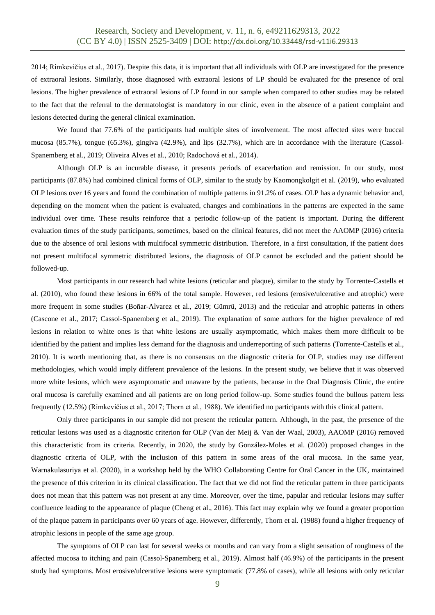2014; Rimkevičius et al., 2017). Despite this data, it is important that all individuals with OLP are investigated for the presence of extraoral lesions. Similarly, those diagnosed with extraoral lesions of LP should be evaluated for the presence of oral lesions. The higher prevalence of extraoral lesions of LP found in our sample when compared to other studies may be related to the fact that the referral to the dermatologist is mandatory in our clinic, even in the absence of a patient complaint and lesions detected during the general clinical examination.

We found that 77.6% of the participants had multiple sites of involvement. The most affected sites were buccal mucosa (85.7%), tongue (65.3%), gingiva (42.9%), and lips (32.7%), which are in accordance with the literature (Cassol-Spanemberg et al., 2019; Oliveira Alves et al., 2010; Radochová et al., 2014).

Although OLP is an incurable disease, it presents periods of exacerbation and remission. In our study, most participants (87.8%) had combined clinical forms of OLP, similar to the study by Kaomongkolgit et al. (2019), who evaluated OLP lesions over 16 years and found the combination of multiple patterns in 91.2% of cases. OLP has a dynamic behavior and, depending on the moment when the patient is evaluated, changes and combinations in the patterns are expected in the same individual over time. These results reinforce that a periodic follow-up of the patient is important. During the different evaluation times of the study participants, sometimes, based on the clinical features, did not meet the AAOMP (2016) criteria due to the absence of oral lesions with multifocal symmetric distribution. Therefore, in a first consultation, if the patient does not present multifocal symmetric distributed lesions, the diagnosis of OLP cannot be excluded and the patient should be followed-up.

Most participants in our research had white lesions (reticular and plaque), similar to the study by Torrente-Castells et al. (2010), who found these lesions in 66% of the total sample. However, red lesions (erosive/ulcerative and atrophic) were more frequent in some studies (Boñar-Alvarez et al., 2019; Gümrü, 2013) and the reticular and atrophic patterns in others (Cascone et al., 2017; Cassol-Spanemberg et al., 2019). The explanation of some authors for the higher prevalence of red lesions in relation to white ones is that white lesions are usually asymptomatic, which makes them more difficult to be identified by the patient and implies less demand for the diagnosis and underreporting of such patterns (Torrente-Castells et al., 2010). It is worth mentioning that, as there is no consensus on the diagnostic criteria for OLP, studies may use different methodologies, which would imply different prevalence of the lesions. In the present study, we believe that it was observed more white lesions, which were asymptomatic and unaware by the patients, because in the Oral Diagnosis Clinic, the entire oral mucosa is carefully examined and all patients are on long period follow-up. Some studies found the bullous pattern less frequently (12.5%) (Rimkevičius et al., 2017; Thorn et al., 1988). We identified no participants with this clinical pattern.

Only three participants in our sample did not present the reticular pattern. Although, in the past, the presence of the reticular lesions was used as a diagnostic criterion for OLP (Van der Meij & Van der Waal, 2003), AAOMP (2016) removed this characteristic from its criteria. Recently, in 2020, the study by González-Moles et al. (2020) proposed changes in the diagnostic criteria of OLP, with the inclusion of this pattern in some areas of the oral mucosa. In the same year, Warnakulasuriya et al. (2020), in a workshop held by the WHO Collaborating Centre for Oral Cancer in the UK, maintained the presence of this criterion in its clinical classification. The fact that we did not find the reticular pattern in three participants does not mean that this pattern was not present at any time. Moreover, over the time, papular and reticular lesions may suffer confluence leading to the appearance of plaque (Cheng et al., 2016). This fact may explain why we found a greater proportion of the plaque pattern in participants over 60 years of age. However, differently, Thorn et al. (1988) found a higher frequency of atrophic lesions in people of the same age group.

The symptoms of OLP can last for several weeks or months and can vary from a slight sensation of roughness of the affected mucosa to itching and pain (Cassol-Spanemberg et al., 2019). Almost half (46.9%) of the participants in the present study had symptoms. Most erosive/ulcerative lesions were symptomatic (77.8% of cases), while all lesions with only reticular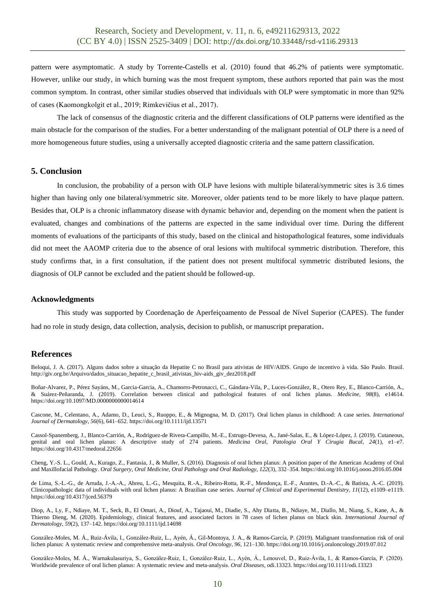pattern were asymptomatic. A study by Torrente-Castells et al. (2010) found that 46.2% of patients were symptomatic. However, unlike our study, in which burning was the most frequent symptom, these authors reported that pain was the most common symptom. In contrast, other similar studies observed that individuals with OLP were symptomatic in more than 92% of cases (Kaomongkolgit et al., 2019; Rimkevičius et al., 2017).

The lack of consensus of the diagnostic criteria and the different classifications of OLP patterns were identified as the main obstacle for the comparison of the studies. For a better understanding of the malignant potential of OLP there is a need of more homogeneous future studies, using a universally accepted diagnostic criteria and the same pattern classification.

### **5. Conclusion**

In conclusion, the probability of a person with OLP have lesions with multiple bilateral/symmetric sites is 3.6 times higher than having only one bilateral/symmetric site. Moreover, older patients tend to be more likely to have plaque pattern. Besides that, OLP is a chronic inflammatory disease with dynamic behavior and, depending on the moment when the patient is evaluated, changes and combinations of the patterns are expected in the same individual over time. During the different moments of evaluations of the participants of this study, based on the clinical and histopathological features, some individuals did not meet the AAOMP criteria due to the absence of oral lesions with multifocal symmetric distribution. Therefore, this study confirms that, in a first consultation, if the patient does not present multifocal symmetric distributed lesions, the diagnosis of OLP cannot be excluded and the patient should be followed-up.

### **Acknowledgments**

This study was supported by Coordenação de Aperfeiçoamento de Pessoal de Nível Superior (CAPES). The funder had no role in study design, data collection, analysis, decision to publish, or manuscript preparation.

### **References**

Beloqui, J. A. (2017). Alguns dados sobre a situação da Hepatite C no Brasil para ativistas de HIV/AIDS. Grupo de incentivo à vida. São Paulo. Brasil. http://giv.org.br/Arquivo/dados\_situacao\_hepatite\_c\_brasil\_ativistas\_hiv-aids\_giv\_dez2018.pdf

Boñar-Alvarez, P., Pérez Sayáns, M., Garcia-Garcia, A., Chamorro-Petronacci, C., Gándara-Vila, P., Luces-González, R., Otero Rey, E., Blanco-Carrión, A., & Suárez-Peñaranda, J. (2019). Correlation between clinical and pathological features of oral lichen planus. *Medicine*, *98*(8), e14614. https://doi.org/10.1097/MD.0000000000014614

Cascone, M., Celentano, A., Adamo, D., Leuci, S., Ruoppo, E., & Mignogna, M. D. (2017). Oral lichen planus in childhood: A case series. *International Journal of Dermatology*, *56*(6), 641–652. https://doi.org/10.1111/ijd.13571

Cassol-Spanemberg, J., Blanco-Carrión, A., Rodríguez-de Rivera-Campillo, M.-E., Estrugo-Devesa, A., Jané-Salas, E., & López-López, J. (2019). Cutaneous, genital and oral lichen planus: A descriptive study of 274 patients. *Medicina Oral, Patologia Oral Y Cirugia Bucal*, *24*(1), e1–e7. https://doi.org/10.4317/medoral.22656

Cheng, Y.-S. L., Gould, A., Kurago, Z., Fantasia, J., & Muller, S. (2016). Diagnosis of oral lichen planus: A position paper of the American Academy of Oral and Maxillofacial Pathology. *Oral Surgery, Oral Medicine, Oral Pathology and Oral Radiology*, *122*(3), 332–354. https://doi.org/10.1016/j.oooo.2016.05.004

de Lima, S.-L.-G., de Arruda, J.-A.-A., Abreu, L.-G., Mesquita, R.-A., Ribeiro-Rotta, R.-F., Mendonça, E.-F., Arantes, D.-A.-C., & Batista, A.-C. (2019). Clinicopathologic data of individuals with oral lichen planus: A Brazilian case series. *Journal of Clinical and Experimental Dentistry*, *11*(12), e1109–e1119. https://doi.org/10.4317/jced.56379

Diop, A., Ly, F., Ndiaye, M. T., Seck, B., El Omari, A., Diouf, A., Tajaoui, M., Diadie, S., Ahy Diatta, B., Ndiaye, M., Diallo, M., Niang, S., Kane, A., & Thierno Dieng, M. (2020). Epidemiology, clinical features, and associated factors in 78 cases of lichen planus on black skin. *International Journal of Dermatology*, *59*(2), 137–142. https://doi.org/10.1111/ijd.14698

González-Moles, M. Á., Ruiz-Ávila, I., González-Ruiz, L., Ayén, Á., Gil-Montoya, J. A., & Ramos-García, P. (2019). Malignant transformation risk of oral lichen planus: A systematic review and comprehensive meta-analysis. *Oral Oncology*, *96*, 121–130. https://doi.org/10.1016/j.oraloncology.2019.07.012

González‐Moles, M. Á., Warnakulasuriya, S., González‐Ruiz, I., González‐Ruiz, L., Ayén, Á., Lenouvel, D., Ruiz‐Ávila, I., & Ramos‐García, P. (2020). Worldwide prevalence of oral lichen planus: A systematic review and meta‐analysis. *Oral Diseases*, odi.13323. https://doi.org/10.1111/odi.13323